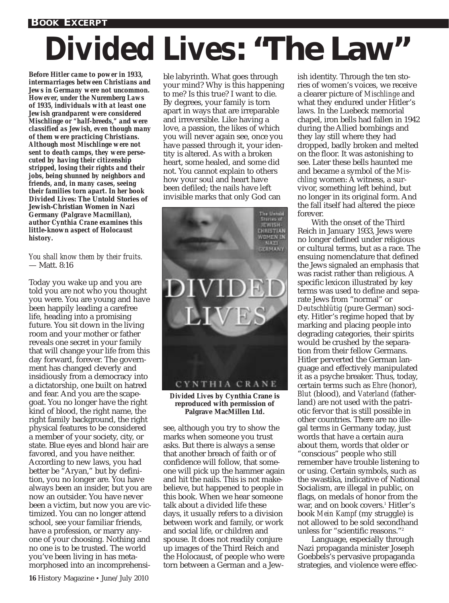## *Divided Lives***: "The Law"**

*Before Hitler came to power in 1933, intermarriages between Christians and Jews in Germany were not uncommon. However, under the Nuremberg Laws of 1935, individuals with at least one Jewish grandparent were considered Mischlinge or "half-breeds," and were classified as Jewish, even though many of them were practicing Christians. Although most Mischlinge were not sent to death camps, they were persecuted by having their citizenship stripped, losing their rights and their jobs, being shunned by neighbors and friends, and, in many cases, seeing their families torn apart. In her book* **Divided Lives: The Untold Stories of Jewish-Christian Women in Nazi Germany** *(Palgrave Macmillan), author Cynthia Crane examines this little-known aspect of Holocaust history.*

*You shall know them by their fruits.* — Matt. 8:16

Today you wake up and you are told you are not who you thought you were. You are young and have been happily leading a carefree life, heading into a promising future. You sit down in the living room and your mother or father reveals one secret in your family that will change your life from this day forward, forever. The government has changed cleverly and insidiously from a democracy into a dictatorship, one built on hatred and fear. And you are the scapegoat. You no longer have the right kind of blood, the right name, the right family background, the right physical features to be considered a member of your society, city, or state. Blue eyes and blond hair are favored, and you have neither. According to new laws, you had better be "Aryan," but by definition, you no longer are. You have always been an insider, but you are now an outsider. You have never been a victim, but now you are victimized. You can no longer attend school, see your familiar friends, have a profession, or marry anyone of your choosing. Nothing and no one is to be trusted. The world you've been living in has metamorphosed into an incomprehensible labyrinth. What goes through your mind? Why is this happening to me? Is this true? I want to die. By degrees, your family is torn apart in ways that are irreparable and irreversible. Like having a love, a passion, the likes of which you will never again see, once you have passed through it, your identity is altered. As with a broken heart, some healed, and some did not. You cannot explain to others how your soul and heart have been defiled; the nails have left invisible marks that only God can



*Divided Lives* **by Cynthia Crane is reproduced with permission of Palgrave MacMillen Ltd.**

see, although you try to show the marks when someone you trust asks. But there is always a sense that another breach of faith or of confidence will follow, that someone will pick up the hammer again and hit the nails. This is not makebelieve, but happened to people in this book. When we hear someone talk about a divided life these days, it usually refers to a division between work and family, or work and social life, or children and spouse. It does not readily conjure up images of the Third Reich and the Holocaust, of people who were torn between a German and a Jewish identity. Through the ten stories of women's voices, we receive a clearer picture of *Mischlinge* and what they endured under Hitler's laws. In the Luebeck memorial chapel, iron bells had fallen in 1942 during the Allied bombings and they lay still where they had dropped, badly broken and melted on the floor. It was astonishing to see. Later these bells haunted me and became a symbol of the *Mischling* women: A witness, a survivor, something left behind, but no longer in its original form. And the fall itself had altered the piece forever.

With the onset of the Third Reich in January 1933, Jews were no longer defined under religious or cultural terms, but as a race. The ensuing nomenclature that defined the Jews signaled an emphasis that was racist rather than religious. A specific lexicon illustrated by key terms was used to define and separate Jews from "normal" or *Deutschblütig* (pure German) society. Hitler's regime hoped that by marking and placing people into degrading categories, their spirits would be crushed by the separation from their fellow Germans. Hitler perverted the German language and effectively manipulated it as a psyche breaker. Thus, today, certain terms such as *Ehre* (honor), *Blut* (blood), and *Vaterland* (fatherland) are not used with the patriotic fervor that is still possible in other countries. There are no illegal terms in Germany today, just words that have a certain aura about them, words that older or "conscious" people who still remember have trouble listening to or using. Certain symbols, such as the swastika, indicative of National Socialism, are illegal in public, on flags, on medals of honor from the war, and on book covers.<sup>1</sup> Hitler's book *Mein Kampf* (my struggle) is not allowed to be sold secondhand unless for "scientific reasons."2

Language, especially through Nazi propaganda minister Joseph Goebbels's pervasive propaganda strategies, and violence were effec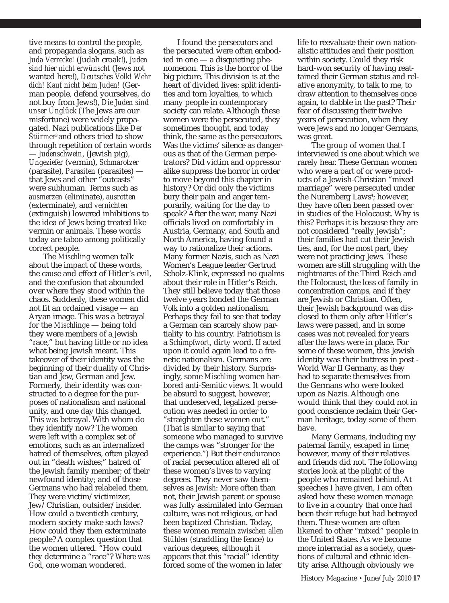tive means to control the people, and propaganda slogans, such as *Juda Verrecke!* (Judah croak!), *Juden sind hier nicht erwünscht* (Jews not wanted here!), *Deutsches Volk! Wehr dich! Kauf nicht beim Juden!* (German people, defend yourselves, do not buy from Jews!), *Die Juden sind unser Unglück* (The Jews are our misfortune) were widely propagated. Nazi publications like *Der Stürmer*3 and others tried to show through repetition of certain words — *Judenschwein*, (Jewish pig), *Ungeziefer* (vermin), *Schmarotzer* (parasite), *Parasiten* (parasites) that Jews and other "outcasts" were subhuman. Terms such as *ausmerzen* (eliminate), *ausrotten* (exterminate), and *vernichten* (extinguish) lowered inhibitions to the idea of Jews being treated like vermin or animals. These words today are taboo among politically correct people.

The *Mischling* women talk about the impact of these words, the cause and effect of Hitler's evil, and the confusion that abounded over where they stood within the chaos. Suddenly, these women did not fit an ordained visage — an Aryan image. This was a betrayal for the *Mischlinge* — being told they were members of a Jewish "race," but having little or no idea what being Jewish meant. This takeover of their identity was the beginning of their duality of Christian and Jew, German and Jew. Formerly, their identity was constructed to a degree for the purposes of nationalism and national unity, and one day this changed. This *was* betrayal. With whom do they identify now? The women were left with a complex set of emotions, such as an internalized hatred of themselves, often played out in "death wishes;" hatred of the Jewish family member; of their newfound identity; and of those Germans who had relabeled them. They were victim/victimizer, Jew/Christian, outsider/insider. How could a twentieth century, modern society make such laws? How could they then exterminate people? A complex question that the women uttered. "How could *they* determine a "race"? *Where was God*, one woman wondered.

I found the persecutors and the persecuted were often embodied in one — a disquieting phenomenon. This is the horror of the big picture. This division is at the heart of divided lives: split identities and torn loyalties, to which many people in contemporary society can relate. Although these women were the persecuted, they sometimes thought, and today think, the same as the persecutors. Was the victims' silence as dangerous as that of the German perpetrators? Did victim and oppressor alike suppress the horror in order to move beyond this chapter in history? Or did only the victims bury their pain and anger temporarily, waiting for the day to speak? After the war, many Nazi officials lived on comfortably in Austria, Germany, and South and North America, having found a way to rationalize their actions. Many former Nazis, such as Nazi Women's League leader Gertrud Scholz-Klink, expressed no qualms about their role in Hitler's Reich. They still believe today that those twelve years bonded the German *Volk* into a golden nationalism. Perhaps they fail to see that today a German can scarcely show partiality to his country. Patriotism is a *Schimpfwort*, dirty word. If acted upon it could again lead to a frenetic nationalism. Germans are divided by their history. Surprisingly, some *Mischling* women harbored anti-Semitic views. It would be absurd to suggest, however, that undeserved, legalized persecution was needed in order to "straighten these women out." (That is similar to saying that someone who managed to survive the camps was "stronger for the experience.") But their endurance of racial persecution altered all of these women's lives to varying degrees. They never saw themselves as *Jewish*: More often than not, their Jewish parent or spouse was fully assimilated into German culture, was not religious, or had been baptized Christian. Today, these women remain *zwischen allen Stühlen* (straddling the fence) to various degrees, although it appears that this "racial" identity forced some of the women in later

life to reevaluate their own nationalistic attitudes and their position within society. Could they risk hard-won security of having reattained their German status and relative anonymity, to talk to me, to draw attention to themselves once again, to dabble in the past? Their fear of discussing their twelve years of persecution, when they were Jews and no longer Germans, was great.

The group of women that I interviewed is one about which we rarely hear. These German women who were a part of or were products of a Jewish-Christian "mixed marriage" were persecuted under the Nuremberg Laws<sup>4</sup>; however, they have often been passed over in studies of the Holocaust. Why is this? Perhaps it is because they are not considered "really Jewish"; their families had cut their Jewish ties, and, for the most part, they were not practicing Jews. These women are still struggling with the nightmares of the Third Reich and the Holocaust, the loss of family in concentration camps, and if they are Jewish or Christian. Often, their Jewish background was disclosed to them only after Hitler's laws were passed, and in some cases was not revealed for years after the laws were in place. For some of these women, this Jewish identity was their buttress in post - World War II Germany, as they had to separate themselves from the Germans who were looked upon as Nazis. Although one would think that they could not in good conscience reclaim their German heritage, today some of them have.

Many Germans, including my paternal family, escaped in time; however, many of their relatives and friends did not. The following stories look at the plight of the people who remained behind. At speeches I have given, I am often asked how these women manage to live in a country that once had been their refuge but had betrayed them. These women are often likened to other "mixed" people in the United States. As we become more interracial as a society, questions of cultural and ethnic identity arise. Although obviously we

History Magazine • June/July 2010 **17**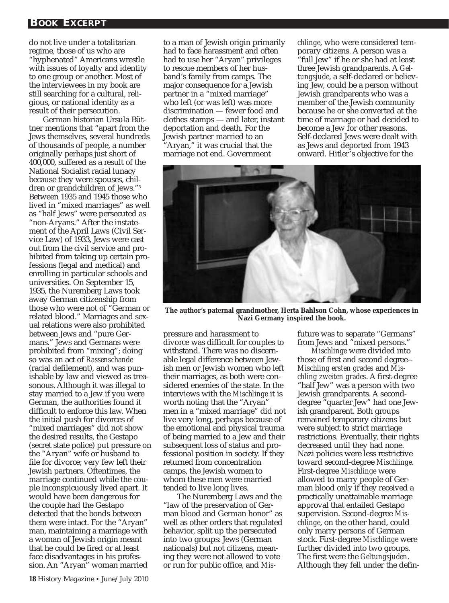## **BOOK EXCERPT**

do not live under a totalitarian regime, those of us who are "hyphenated" Americans wrestle with issues of loyalty and identity to one group or another. Most of the interviewees in my book are still searching for a cultural, religious, or national identity as a result of their persecution.

German historian Ursula Büttner mentions that "apart from the Jews themselves, several hundreds of thousands of people, a number originally perhaps just short of 400,000, suffered as a result of the National Socialist racial lunacy because they were spouses, children or grandchildren of Jews."5 Between 1935 and 1945 those who lived in "mixed marriages" as well as "half Jews" were persecuted as "non-Aryans." After the instatement of the April Laws (Civil Service Law) of 1933, Jews were cast out from the civil service and prohibited from taking up certain professions (legal and medical) and enrolling in particular schools and universities. On September 15, 1935, the Nuremberg Laws took away German citizenship from those who were not of "German or related blood." Marriages and sexual relations were also prohibited between Jews and "pure Germans." Jews and Germans were prohibited from "mixing"; doing so was an act of *Rassenschande* (racial defilement), and was punishable by law and viewed as treasonous. Although it was illegal to stay married to a Jew if you were German, the authorities found it difficult to enforce this law. When the initial push for divorces of "mixed marriages" did not show the desired results, the Gestapo (secret state police) put pressure on the "Aryan" wife or husband to file for divorce; very few left their Jewish partners. Oftentimes, the marriage continued while the couple inconspicuously lived apart. It would have been dangerous for the couple had the Gestapo detected that the bonds between them were intact. For the "Aryan" man, maintaining a marriage with a woman of Jewish origin meant that he could be fired or at least face disadvantages in his profession. An "Aryan" woman married

to a man of Jewish origin primarily had to face harassment and often had to use her "Aryan" privileges to rescue members of her husband's family from camps. The major consequence for a Jewish partner in a "mixed marriage" who left (or was left) was more discrimination — fewer food and clothes stamps — and later, instant deportation and death. For the Jewish partner married to an "Aryan," it was crucial that the

marriage not end. Government

*chlinge*, who were considered temporary citizens. A person was a "full Jew" if he or she had at least three Jewish grandparents. A *Geltungsjude*, a self-declared or believing Jew, could be a person without Jewish grandparents who was a member of the Jewish community because he or she converted at the time of marriage or had decided to become a Jew for other reasons. Self-declared Jews were dealt with as Jews and deported from 1943 onward. Hitler's objective for the



**The author's paternal grandmother, Herta Bahlson Cohn, whose experiences in Nazi Germany inspired the book.**

pressure and harassment to divorce was difficult for couples to withstand. There was no discernable legal difference between Jewish men or Jewish women who left their marriages, as both were considered enemies of the state. In the interviews with the *Mischlinge* it is worth noting that the "Aryan" men in a "mixed marriage" did not live very long, perhaps because of the emotional and physical trauma of being married to a Jew and their subsequent loss of status and professional position in society. If they returned from concentration camps, the Jewish women to whom these men were married tended to live long lives.

The Nuremberg Laws and the "law of the preservation of German blood and German honor" as well as other orders that regulated behavior, split up the persecuted into two groups: Jews (German nationals) but not citizens, meaning they were not allowed to vote or run for public office, and *Mis-* future was to separate "Germans" from Jews and "mixed persons."

*Mischlinge* were divided into those of first and second degree-- *Mischling ersten grades* and *Mischling zweiten grades*. A first-degree "half Jew" was a person with two Jewish grandparents. A seconddegree "quarter Jew" had one Jewish grandparent. Both groups remained temporary citizens but were subject to strict marriage restrictions. Eventually, their rights decreased until they had none. Nazi policies were less restrictive toward second-degree *Mischlinge*. First-degree *Mischlinge* were allowed to marry people of German blood only if they received a practically unattainable marriage approval that entailed Gestapo supervision. Second-degree *Mischlinge*, on the other hand, could only marry persons of German stock. First-degree *Mischlinge* were further divided into two groups. The first were the *Geltungsjuden*. Although they fell under the defin-

**18** History Magazine • June/July 2010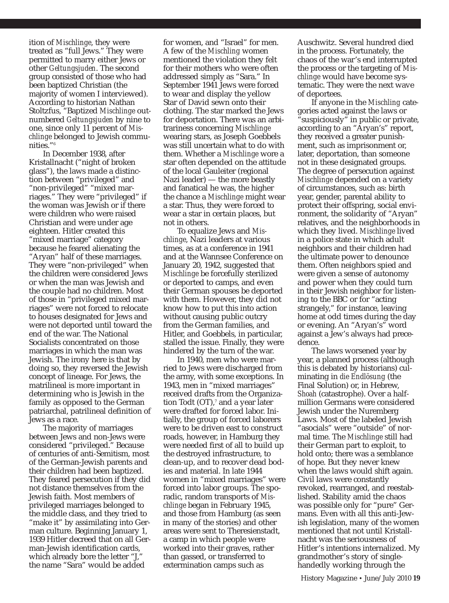ition of *Mischlinge*, they were treated as "full Jews." They were permitted to marry either Jews or other *Geltungsjuden*. The second group consisted of those who had been baptized Christian (the majority of women I interviewed). According to historian Nathan Stoltzfus, "Baptized *Mischlinge* outnumbered *Geltungsjuden* by nine to one, since only 11 percent of *Mischlinge* belonged to Jewish communities."6

In December 1938, after Kristallnacht ("night of broken glass"), the laws made a distinction between "privileged" and "non-privileged" "mixed marriages." They were "privileged" if the woman was Jewish or if there were children who were raised Christian and were under age eighteen. Hitler created this "mixed marriage" category because he feared alienating the "Aryan" half of these marriages. They were "non-privileged" when the children were considered Jews or when the man was Jewish and the couple had no children. Most of those in "privileged mixed marriages" were not forced to relocate to houses designated for Jews and were not deported until toward the end of the war. The National Socialists concentrated on those marriages in which the man was Jewish. The irony here is that by doing so, they reversed the Jewish concept of lineage. For Jews, the matrilineal is more important in determining who is Jewish in the family as opposed to the German patriarchal, patrilineal definition of Jews as a race.

The majority of marriages between Jews and non-Jews were considered "privileged." Because of centuries of anti-Semitism, most of the German-Jewish parents and their children had been baptized. They feared persecution if they did not distance themselves from the Jewish faith. Most members of privileged marriages belonged to the middle class, and they tried to "make it" by assimilating into German culture. Beginning January 1, 1939 Hitler decreed that on all German-Jewish identification cards, which already bore the letter "J, the name "Sara" would be added

for women, and "Israel" for men. A few of the *Mischling* women mentioned the violation they felt for their mothers who were often addressed simply as "Sara." In September 1941 Jews were forced to wear and display the yellow Star of David sewn onto their clothing. The star marked the Jews for deportation. There was an arbitrariness concerning *Mischlinge* wearing stars, as Joseph Goebbels was still uncertain what to do with them. Whether a *Mischlinge* wore a star often depended on the attitude of the local Gauleiter (regional Nazi leader) — the more beastly and fanatical he was, the higher the chance a *Mischlinge* might wear a star. Thus, they were forced to wear a star in certain places, but not in others.

To equalize Jews and *Mischlinge*, Nazi leaders at various times, as at a conference in 1941 and at the Wannsee Conference on January 20, 1942, suggested that *Mischlinge* be forcefully sterilized or deported to camps, and even their German spouses be deported with them. However, they did not know how to put this into action without causing public outcry from the German families, and Hitler, and Goebbels, in particular, stalled the issue. Finally, they were hindered by the turn of the war.

In 1940, men who were married to Jews were discharged from the army, with some exceptions. In 1943, men in "mixed marriages" received drafts from the Organization Todt  $(OT)$ ,<sup>7</sup> and a year later were drafted for forced labor. Initially, the group of forced laborers were to be driven east to construct roads, however, in Hamburg they were needed first of all to build up the destroyed infrastructure, to clean-up, and to recover dead bodies and material. In late 1944 women in "mixed marriages" were forced into labor groups. The sporadic, random transports of *Mischlinge* began in February 1945, and those from Hamburg (as seen in many of the stories) and other areas were sent to Theresienstadt, a camp in which people were worked into their graves, rather than gassed, or transferred to extermination camps such as

Auschwitz. Several hundred died in the process. Fortunately, the chaos of the war's end interrupted the process or the targeting of *Mischlinge* would have become systematic. They were the next wave of deportees.

If anyone in the *Mischling* categories acted against the laws or "suspiciously" in public or private, according to an "Aryan's" report, they received a greater punishment, such as imprisonment or, later, deportation, than someone not in these designated groups. The degree of persecution against *Mischlinge* depended on a variety of circumstances, such as: birth year, gender, parental ability to protect their offspring, social environment, the solidarity of "Aryan" relatives, and the neighborhoods in which they lived. *Mischlinge* lived in a police state in which adult neighbors and their children had the ultimate power to denounce them. Often neighbors spied and were given a sense of autonomy and power when they could turn in their Jewish neighbor for listening to the BBC or for "acting strangely," for instance, leaving home at odd times during the day or evening. An "Aryan's" word against a Jew's always had precedence.

The laws worsened year by year, a planned process (although this is debated by historians) culminating in *die Endlösung* (the Final Solution) or, in Hebrew, *Shoah* (catastrophe). Over a halfmillion Germans were considered Jewish under the Nuremberg Laws. Most of the labeled Jewish "asocials" were "outside" of normal time. The *Mischlinge* still had their German part to exploit, to hold onto; there was a semblance of hope. But they never knew when the laws would shift again. Civil laws were constantly revoked, rearranged, and reestablished. Stability amid the chaos was possible only for "pure" Germans. Even with all this anti-Jewish legislation, many of the women mentioned that not until Kristallnacht was the seriousness of Hitler's intentions internalized. My grandmother's story of singlehandedly working through the

History Magazine • June/July 2010 **19**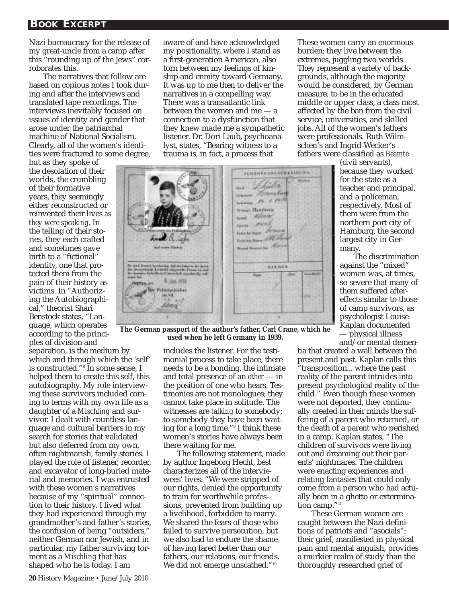Nazi bureaucracy for the release of my great-uncle from a camp after this "rounding up of the Jews" corroborates this.

The narratives that follow are based on copious notes I took during and after the interviews and translated tape recordings. The interviews inevitably focused on issues of identity and gender that arose under the patriarchal machine of National Socialism. Clearly, all of the women's identities were fractured to some degree,

but as they spoke of the desolation of their worlds, the crumbling of their formative years, they seemingly either reconstructed or reinvented their lives *as they were speaking*. In the telling of their stories, they each crafted and sometimes gave birth to a "fictional" identity, one that protected them from the pain of their history as victims. In "Authorizing the Autobiographical," theorist Shari Benstock states, "Language, which operates according to the princi-

ples of division and separation, is the medium by which and through which the 'self' is constructed."8 In some sense, I helped them to create this self, this autobiography. My role interviewing these survivors included coming to terms with my own life as a daughter of a *Mischling* and survivor. I dealt with countless language and cultural barriers in my search for stories that validated but also deferred from my own, often nightmarish, family stories. I played the role of listener, recorder, and excavator of long-buried material and memories. I was entrusted with these women's narratives because of my "spiritual" connection to their history. I lived what they had experienced through my grandmother's and father's stories, the confusion of being "outsiders," neither German nor Jewish, and in particular, my father surviving torment as a *Mischling* that has shaped who he is today. I am

aware of and have acknowledged my positionality, where I stand as a first-generation American, also torn between my feelings of kinship and enmity toward Germany. It was up to me then to deliver the narratives in a compelling way. There was a transatlantic link between the women and me — a connection to a dysfunction that they knew made me a sympathetic listener. Dr. Dori Laub, psychoanalyst, states, "Bearing witness to a trauma is, in fact, a process that

**PERSONALIZED FROM FILE** Lehüler thead. Grand Harrista  $14.6.193$ was Hanker was Africa and over India ka huga Marina Value and Barrel and Pay Asi **KINDER Alian** Jan. 2039

**The German passport of the author's father, Carl Crane, which he used when he left Germany in 1939.** 

includes the listener. For the testimonial process to take place, there needs to be a bonding, the intimate and total presence of an *other* — in the position of one who hears. Testimonies are not monologues; they cannot take place in solitude. The witnesses are *talking* to somebody; to somebody they have been waiting for a long time."9 I think these women's stories have always been there waiting for me.

The following statement, made by author Ingeborg Hecht, best characterizes all of the interviewees' lives: "We were stripped of our rights, denied the opportunity to train for worthwhile professions, prevented from building up a livelihood, forbidden to marry. We shared the fears of those who failed to survive persecution, but we also had to endure the shame of having fared better than our fathers, our relations, our friends. We did not emerge unscathed."<sup>10</sup>

These women carry an enormous burden; they live between the extremes, juggling two worlds. They represent a variety of backgrounds, although the majority would be considered, by German measure, to be in the educated middle or upper class, a class most affected by the ban from the civil service, universities, and skilled jobs. All of the women's fathers were professionals. Ruth Wilmschen's and Ingrid Wecker's fathers were classified as *Beamte*

(civil servants), because they worked for the state as a teacher and principal, and a policeman, respectively. Most of them were from the northern port city of Hamburg, the second largest city in Germany.

The discrimination against the "mixed" women was, at times, so severe that many of them suffered aftereffects similar to those of camp survivors, as psychologist Louise Kaplan documented — physical illness

and/or mental demen-

tia that created a wall between the present and past. Kaplan calls this "transposition... where the past reality of the parent intrudes into present psychological reality of the child." Even though these women were not deported, they continually created in their minds the suffering of a parent who returned, or the death of a parent who perished in a camp. Kaplan states, "The children of survivors were living out and dreaming out their parents' nightmares. The children were enacting experiences and relating fantasies that could only come from a person who had actually been in a ghetto or extermination camp."<sup>11</sup>

These German women are caught between the Nazi definitions of patriots and "asocials"; their grief, manifested in physical pain and mental anguish, provides a murkier realm of study than the thoroughly researched grief of

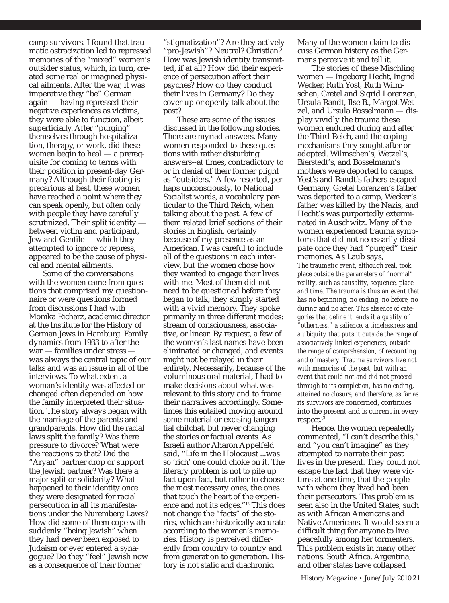camp survivors. I found that traumatic ostracization led to repressed memories of the "mixed" women's outsider status, which, in turn, created some real or imagined physical ailments. After the war, it was imperative they "be" German again — having repressed their negative experiences as victims, they were able to function, albeit superficially. After "purging" themselves through hospitalization, therapy, or work, did these women begin to heal — a prerequisite for coming to terms with their position in present-day Germany? Although their footing is precarious at best, these women have reached a point where they can speak openly, but often only with people they have carefully scrutinized. Their split identity between victim and participant, Jew and Gentile — which they attempted to ignore or repress, appeared to be the cause of physical and mental ailments.

Some of the conversations with the women came from questions that comprised my questionnaire or were questions formed from discussions I had with Monika Richarz, academic director at the Institute for the History of German Jews in Hamburg. Family dynamics from 1933 to after the war — families under stress was always the central topic of our talks and was an issue in all of the interviews. To what extent a woman's identity was affected or changed often depended on how the family interpreted their situation. The story always began with the marriage of the parents and grandparents. How did the racial laws split the family? Was there pressure to divorce? What were the reactions to that? Did the "Aryan" partner drop or support the Jewish partner? Was there a major split or solidarity? What happened to their identity once they were designated for racial persecution in all its manifestations under the Nuremberg Laws? How did some of them cope with suddenly "being Jewish" when they had never been exposed to Judaism or ever entered a synagogue? Do they "feel" Jewish now as a consequence of their former

"stigmatization"? Are they actively "pro-Jewish"? Neutral? Christian? How was Jewish identity transmitted, if at all? How did their experience of persecution affect their psyches? How do they conduct their lives in Germany? Do they cover up or openly talk about the past?

These are some of the issues discussed in the following stories. There are myriad answers. Many women responded to these questions with rather disturbing answers--at times, contradictory to or in denial of their former plight as "outsiders." A few resorted, perhaps unconsciously, to National Socialist words, a vocabulary particular to the Third Reich, when talking about the past. A few of them related brief sections of their stories in English, certainly because of my presence as an American. I was careful to include all of the questions in each interview, but the women chose how they wanted to engage their lives with me. Most of them did not need to be questioned before they began to talk; they simply started with a vivid memory. They spoke primarily in three different modes: stream of consciousness, associative, or linear. By request, a few of the women's last names have been eliminated or changed, and events might not be relayed in their entirety. Necessarily, because of the voluminous oral material, I had to make decisions about what was relevant to this story and to frame their narratives accordingly. Sometimes this entailed moving around some material or excising tangential chitchat, but never changing the stories or factual events. As Israeli author Aharon Appelfeld said, "Life in the Holocaust ...was so 'rich' one could choke on it. The literary problem is not to pile up fact upon fact, but rather to choose the most necessary ones, the ones that touch the heart of the experience and not its edges."12 This does not change the "facts" of the stories, which are historically accurate according to the women's memories. History is perceived differently from country to country and from generation to generation. History is not static and diachronic.

Many of the women claim to discuss German history as the Germans perceive it and tell it.

The stories of these Mischling women — Ingeborg Hecht, Ingrid Wecker, Ruth Yost, Ruth Wilmschen, Gretel and Sigrid Lorenzen, Ursula Randt, Ilse B., Margot Wetzel, and Ursula Bosselmann — display vividly the trauma these women endured during and after the Third Reich, and the coping mechanisms they sought after or adopted. Wilmschen's, Wetzel's, Bierstedt's, and Bosselmann's mothers were deported to camps. Yost's and Randt's fathers escaped Germany, Gretel Lorenzen's father was deported to a camp, Wecker's father was killed by the Nazis, and Hecht's was purportedly exterminated in Auschwitz. Many of the women experienced trauma symptoms that did not necessarily dissipate once they had "purged" their memories. As Laub says, *The traumatic event, although real, took place outside the parameters of "normal" reality, such as causality, sequence, place and time. The trauma is thus an event that has no beginning, no ending, no before, no during and no after. This absence of categories that define it lends it a quality of "otherness," a salience, a timelessness and a ubiquity that puts it outside the range of associatively linked experiences, outside the range of comprehension, of recounting and of mastery. Trauma survivors live not with memories of the past, but with an event that could not and did not proceed through to its completion, has no ending, attained no closure, and therefore, as far as its survivors are* concerned, continues into the present and is current in every

respect.<sup>13</sup> Hence, the women repeatedly commented, "I can't describe this," and "you can't imagine" as they attempted to narrate their past lives in the present. They could not escape the fact that they were victims at one time, that the people with whom they lived had been their persecutors. This problem is seen also in the United States, such as with African Americans and Native Americans. It would seem a difficult thing for anyone to live peacefully among her tormenters. This problem exists in many other nations. South Africa, Argentina, and other states have collapsed

History Magazine • June/July 2010 **21**